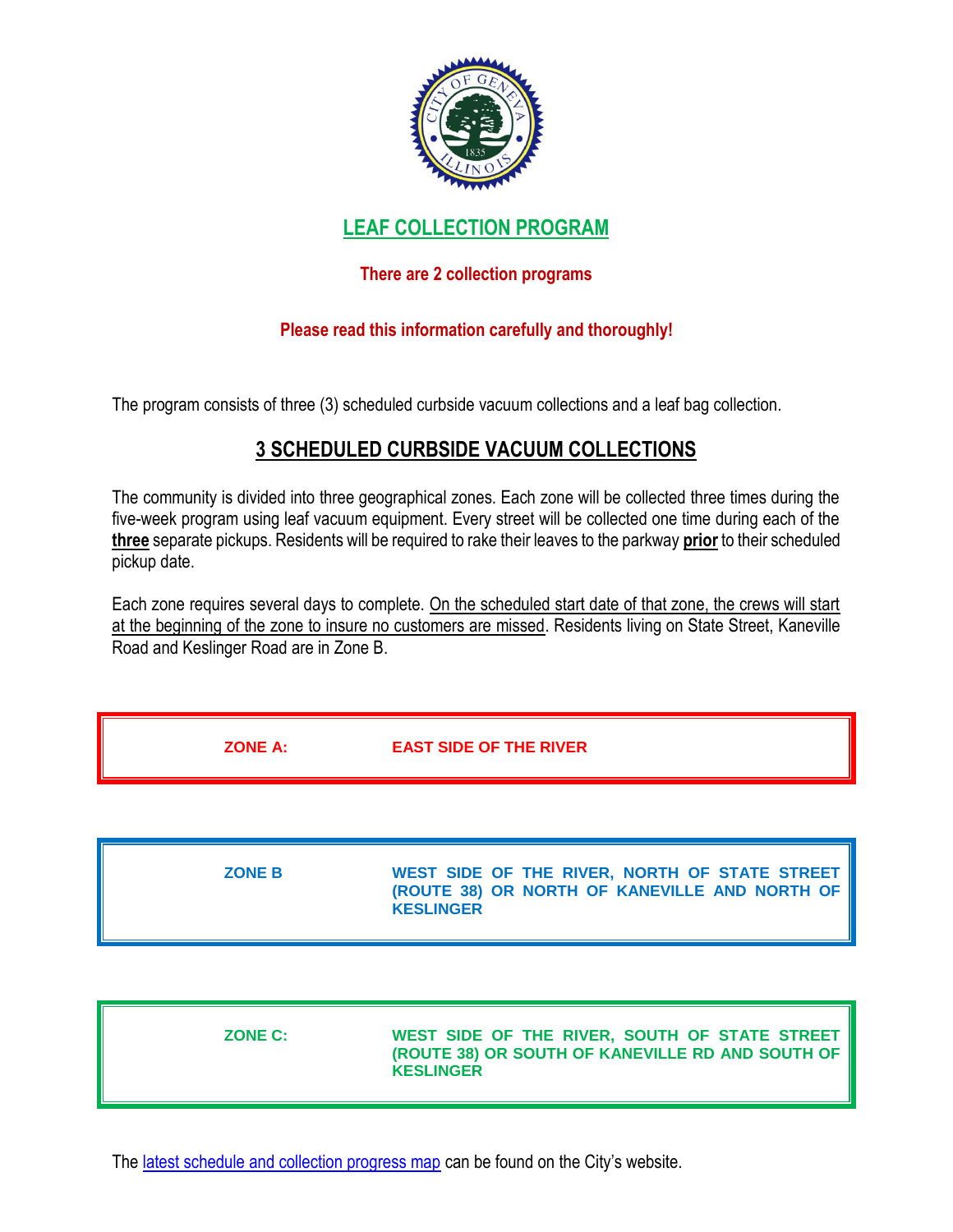

# **LEAF COLLECTION PROGRAM**

## **There are 2 collection programs**

### **Please read this information carefully and thoroughly!**

The program consists of three (3) scheduled curbside vacuum collections and a leaf bag collection.

# **3 SCHEDULED CURBSIDE VACUUM COLLECTIONS**

The community is divided into three geographical zones. Each zone will be collected three times during the five-week program using leaf vacuum equipment. Every street will be collected one time during each of the **three** separate pickups. Residents will be required to rake their leaves to the parkway **prior** to their scheduled pickup date.

Each zone requires several days to complete. On the scheduled start date of that zone, the crews will start at the beginning of the zone to insure no customers are missed. Residents living on State Street, Kaneville Road and Keslinger Road are in Zone B.

| <b>ZONE A:</b> | <b>EAST SIDE OF THE RIVER</b> |
|----------------|-------------------------------|
|                |                               |
| -----          | ----                          |

| <b>ZONE B</b> | WEST SIDE OF THE RIVER, NORTH OF STATE STREET |
|---------------|-----------------------------------------------|
|               | (ROUTE 38) OR NORTH OF KANEVILLE AND NORTH OF |
|               | <b>KESLINGER</b>                              |
|               |                                               |

| <b>ZONE C:</b> | WEST SIDE OF THE RIVER, SOUTH OF STATE STREET   <br>(ROUTE 38) OR SOUTH OF KANEVILLE RD AND SOUTH OF<br><b>KESLINGER</b> |
|----------------|--------------------------------------------------------------------------------------------------------------------------|
|----------------|--------------------------------------------------------------------------------------------------------------------------|

Th[e latest schedule and collection progress map](https://www.geneva.il.us/796/Leaf-Collection) can be found on the City's website.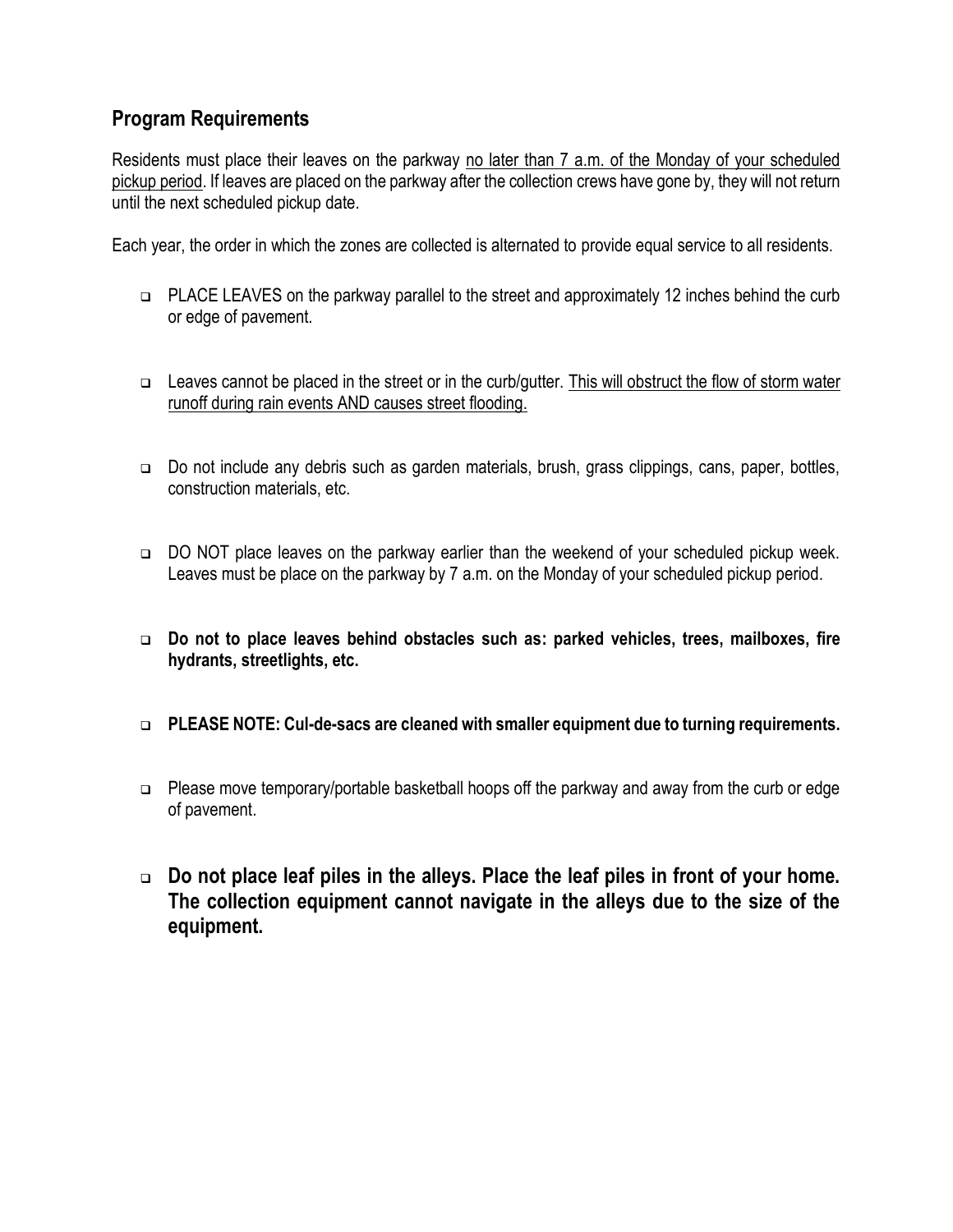## **Program Requirements**

Residents must place their leaves on the parkway no later than 7 a.m. of the Monday of your scheduled pickup period. If leaves are placed on the parkway after the collection crews have gone by, they will not return until the next scheduled pickup date.

Each year, the order in which the zones are collected is alternated to provide equal service to all residents.

- PLACE LEAVES on the parkway parallel to the street and approximately 12 inches behind the curb or edge of pavement.
- $\Box$  Leaves cannot be placed in the street or in the curb/gutter. This will obstruct the flow of storm water runoff during rain events AND causes street flooding.
- Do not include any debris such as garden materials, brush, grass clippings, cans, paper, bottles, construction materials, etc.
- □ DO NOT place leaves on the parkway earlier than the weekend of your scheduled pickup week. Leaves must be place on the parkway by 7 a.m. on the Monday of your scheduled pickup period.
- **Do not to place leaves behind obstacles such as: parked vehicles, trees, mailboxes, fire hydrants, streetlights, etc.**
- **PLEASE NOTE: Cul-de-sacs are cleaned with smaller equipment due to turning requirements.**
- □ Please move temporary/portable basketball hoops off the parkway and away from the curb or edge of pavement.
- **Do not place leaf piles in the alleys. Place the leaf piles in front of your home. The collection equipment cannot navigate in the alleys due to the size of the equipment.**